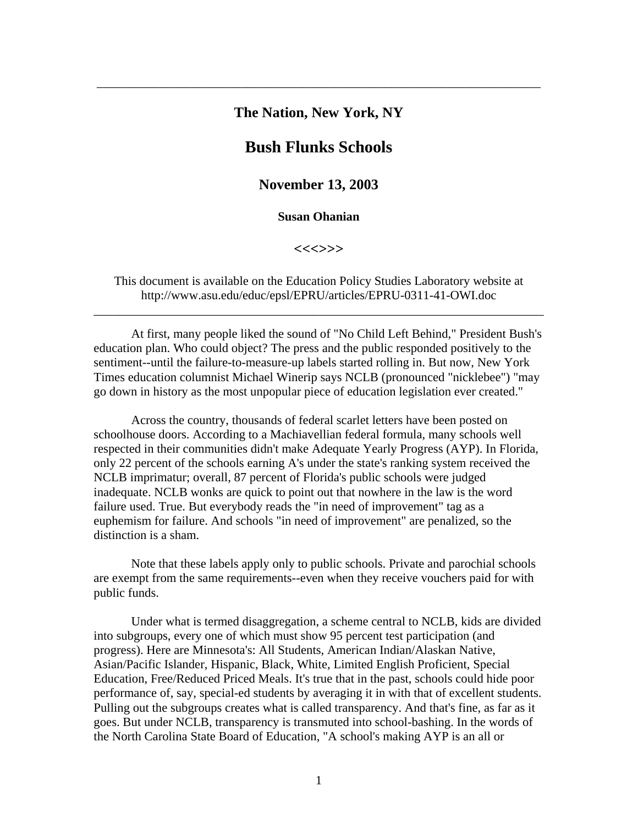## **The Nation, New York, NY**

\_\_\_\_\_\_\_\_\_\_\_\_\_\_\_\_\_\_\_\_\_\_\_\_\_\_\_\_\_\_\_\_\_\_\_\_\_\_\_\_\_\_\_\_\_\_\_\_\_\_\_\_\_\_\_\_\_\_\_\_\_\_\_\_\_\_\_\_\_\_\_

## **Bush Flunks Schools**

## **November 13, 2003**

## **Susan Ohanian**

**<<<>>>** 

This document is available on the Education Policy Studies Laboratory website at http://www.asu.edu/educ/epsl/EPRU/articles/EPRU-0311-41-OWI.doc

\_\_\_\_\_\_\_\_\_\_\_\_\_\_\_\_\_\_\_\_\_\_\_\_\_\_\_\_\_\_\_\_\_\_\_\_\_\_\_\_\_\_\_\_\_\_\_\_\_\_\_\_\_\_\_\_\_\_\_\_\_\_\_\_\_\_\_\_\_\_\_\_

At first, many people liked the sound of "No Child Left Behind," President Bush's education plan. Who could object? The press and the public responded positively to the sentiment--until the failure-to-measure-up labels started rolling in. But now, New York Times education columnist Michael Winerip says NCLB (pronounced "nicklebee") "may go down in history as the most unpopular piece of education legislation ever created."

Across the country, thousands of federal scarlet letters have been posted on schoolhouse doors. According to a Machiavellian federal formula, many schools well respected in their communities didn't make Adequate Yearly Progress (AYP). In Florida, only 22 percent of the schools earning A's under the state's ranking system received the NCLB imprimatur; overall, 87 percent of Florida's public schools were judged inadequate. NCLB wonks are quick to point out that nowhere in the law is the word failure used. True. But everybody reads the "in need of improvement" tag as a euphemism for failure. And schools "in need of improvement" are penalized, so the distinction is a sham.

Note that these labels apply only to public schools. Private and parochial schools are exempt from the same requirements--even when they receive vouchers paid for with public funds.

Under what is termed disaggregation, a scheme central to NCLB, kids are divided into subgroups, every one of which must show 95 percent test participation (and progress). Here are Minnesota's: All Students, American Indian/Alaskan Native, Asian/Pacific Islander, Hispanic, Black, White, Limited English Proficient, Special Education, Free/Reduced Priced Meals. It's true that in the past, schools could hide poor performance of, say, special-ed students by averaging it in with that of excellent students. Pulling out the subgroups creates what is called transparency. And that's fine, as far as it goes. But under NCLB, transparency is transmuted into school-bashing. In the words of the North Carolina State Board of Education, "A school's making AYP is an all or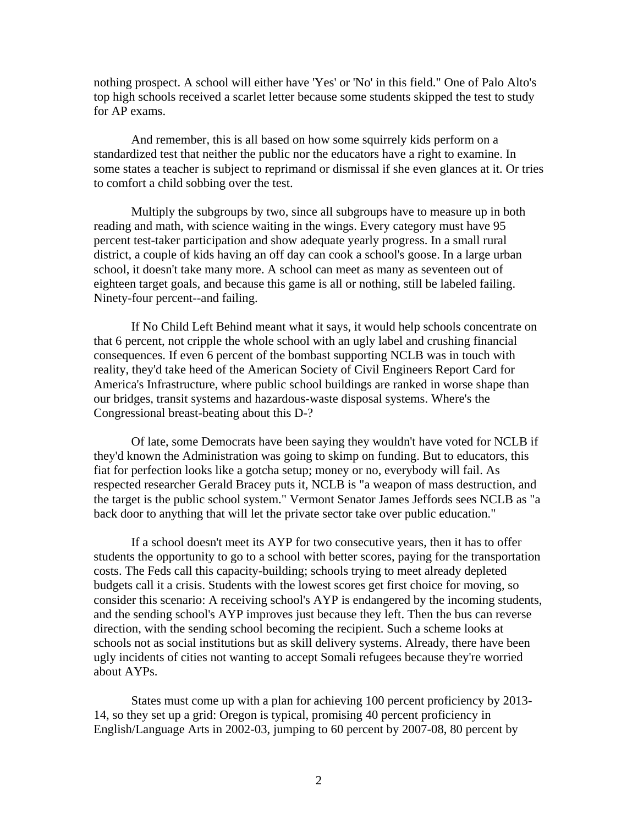nothing prospect. A school will either have 'Yes' or 'No' in this field." One of Palo Alto's top high schools received a scarlet letter because some students skipped the test to study for AP exams.

And remember, this is all based on how some squirrely kids perform on a standardized test that neither the public nor the educators have a right to examine. In some states a teacher is subject to reprimand or dismissal if she even glances at it. Or tries to comfort a child sobbing over the test.

Multiply the subgroups by two, since all subgroups have to measure up in both reading and math, with science waiting in the wings. Every category must have 95 percent test-taker participation and show adequate yearly progress. In a small rural district, a couple of kids having an off day can cook a school's goose. In a large urban school, it doesn't take many more. A school can meet as many as seventeen out of eighteen target goals, and because this game is all or nothing, still be labeled failing. Ninety-four percent--and failing.

If No Child Left Behind meant what it says, it would help schools concentrate on that 6 percent, not cripple the whole school with an ugly label and crushing financial consequences. If even 6 percent of the bombast supporting NCLB was in touch with reality, they'd take heed of the American Society of Civil Engineers Report Card for America's Infrastructure, where public school buildings are ranked in worse shape than our bridges, transit systems and hazardous-waste disposal systems. Where's the Congressional breast-beating about this D-?

Of late, some Democrats have been saying they wouldn't have voted for NCLB if they'd known the Administration was going to skimp on funding. But to educators, this fiat for perfection looks like a gotcha setup; money or no, everybody will fail. As respected researcher Gerald Bracey puts it, NCLB is "a weapon of mass destruction, and the target is the public school system." Vermont Senator James Jeffords sees NCLB as "a back door to anything that will let the private sector take over public education."

If a school doesn't meet its AYP for two consecutive years, then it has to offer students the opportunity to go to a school with better scores, paying for the transportation costs. The Feds call this capacity-building; schools trying to meet already depleted budgets call it a crisis. Students with the lowest scores get first choice for moving, so consider this scenario: A receiving school's AYP is endangered by the incoming students, and the sending school's AYP improves just because they left. Then the bus can reverse direction, with the sending school becoming the recipient. Such a scheme looks at schools not as social institutions but as skill delivery systems. Already, there have been ugly incidents of cities not wanting to accept Somali refugees because they're worried about AYPs.

States must come up with a plan for achieving 100 percent proficiency by 2013- 14, so they set up a grid: Oregon is typical, promising 40 percent proficiency in English/Language Arts in 2002-03, jumping to 60 percent by 2007-08, 80 percent by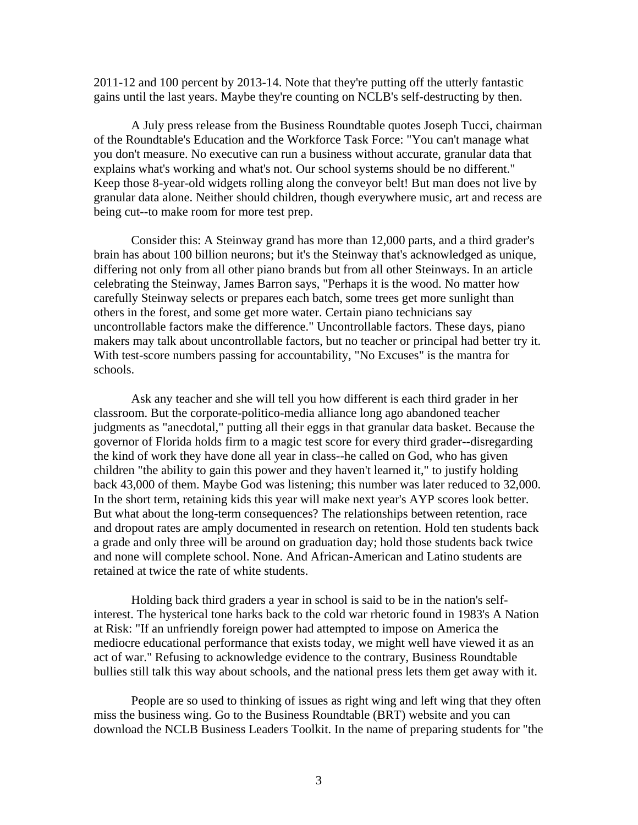2011-12 and 100 percent by 2013-14. Note that they're putting off the utterly fantastic gains until the last years. Maybe they're counting on NCLB's self-destructing by then.

A July press release from the Business Roundtable quotes Joseph Tucci, chairman of the Roundtable's Education and the Workforce Task Force: "You can't manage what you don't measure. No executive can run a business without accurate, granular data that explains what's working and what's not. Our school systems should be no different." Keep those 8-year-old widgets rolling along the conveyor belt! But man does not live by granular data alone. Neither should children, though everywhere music, art and recess are being cut--to make room for more test prep.

Consider this: A Steinway grand has more than 12,000 parts, and a third grader's brain has about 100 billion neurons; but it's the Steinway that's acknowledged as unique, differing not only from all other piano brands but from all other Steinways. In an article celebrating the Steinway, James Barron says, "Perhaps it is the wood. No matter how carefully Steinway selects or prepares each batch, some trees get more sunlight than others in the forest, and some get more water. Certain piano technicians say uncontrollable factors make the difference." Uncontrollable factors. These days, piano makers may talk about uncontrollable factors, but no teacher or principal had better try it. With test-score numbers passing for accountability, "No Excuses" is the mantra for schools.

Ask any teacher and she will tell you how different is each third grader in her classroom. But the corporate-politico-media alliance long ago abandoned teacher judgments as "anecdotal," putting all their eggs in that granular data basket. Because the governor of Florida holds firm to a magic test score for every third grader--disregarding the kind of work they have done all year in class--he called on God, who has given children "the ability to gain this power and they haven't learned it," to justify holding back 43,000 of them. Maybe God was listening; this number was later reduced to 32,000. In the short term, retaining kids this year will make next year's AYP scores look better. But what about the long-term consequences? The relationships between retention, race and dropout rates are amply documented in research on retention. Hold ten students back a grade and only three will be around on graduation day; hold those students back twice and none will complete school. None. And African-American and Latino students are retained at twice the rate of white students.

Holding back third graders a year in school is said to be in the nation's selfinterest. The hysterical tone harks back to the cold war rhetoric found in 1983's A Nation at Risk: "If an unfriendly foreign power had attempted to impose on America the mediocre educational performance that exists today, we might well have viewed it as an act of war." Refusing to acknowledge evidence to the contrary, Business Roundtable bullies still talk this way about schools, and the national press lets them get away with it.

People are so used to thinking of issues as right wing and left wing that they often miss the business wing. Go to the Business Roundtable (BRT) website and you can download the NCLB Business Leaders Toolkit. In the name of preparing students for "the